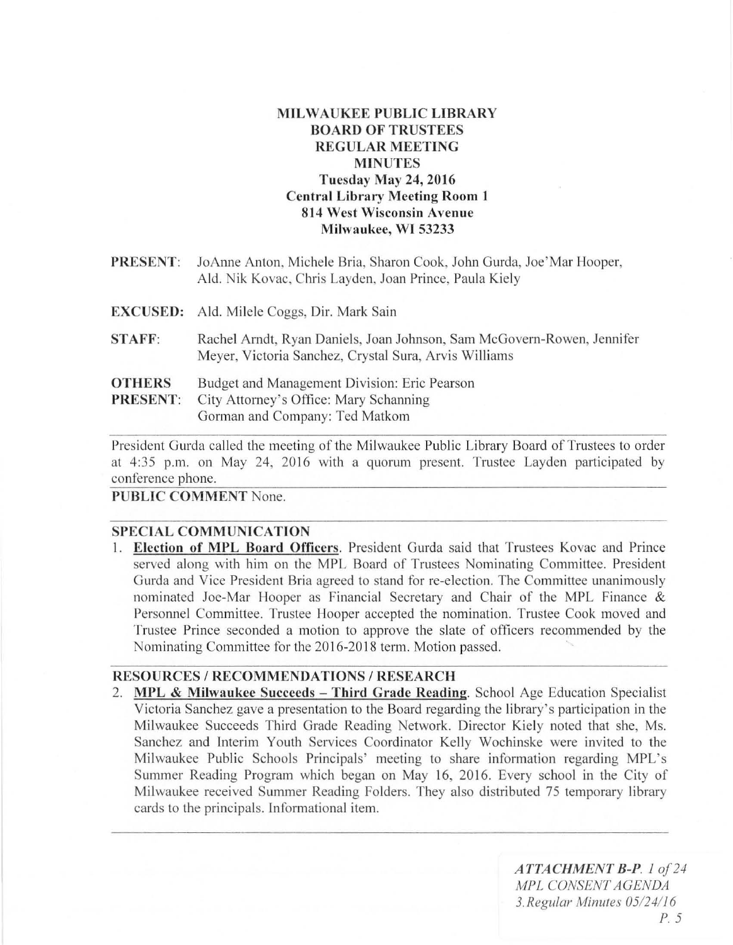# MILWAUKEE PUBLIC LIBRARY BOARD OF TRUSTEES REGULAR MEETING MINUTES Tuesday May 24, 2016 Central Library Meeting Room I 814 West Wisconsin Avenue Milwaukee, WI 53233

- PRESENT: JoAnne Anton, Michele Bria, Sharon Cook, John Gurda, Joe'Mar Hooper, Ald. Nik Kovac, Chris Layden, Joan Prince, Paula Kiely
- EXCUSED: Ald. Milele Coggs, Dir. Mark Sain
- STAFF: Rachel Arndt, Ryan Daniels, Joan Johnson, Sam McGovern-Rowen, Jennifer Meyer, Victoria Sanchez, Crystal Sura, Arvis Williams
- **OTHERS** Budget and Management Division: Eric Pearson
- PRESENT: City Attorney's Office: Mary Schanning Gorman and Company: Ted Matkom

President Gurda called the meeting of the Milwaukee Public Library Board of Trustees to order at 4:35 p.m. on May 24, 2016 with a quorum present. Trustee Layden participated by conference phone.

## PUBLIC COMMENT None.

## SPECIAL COMMUNICATION

1. Election of MPL Board Officers. President Gurda said that Trustees Kovac and Prince served along with him on the MPL Board of Trustees Nominating Committee. President Gurda and Vice President Bria agreed to stand for re-election. The Committee unanimously nominated Joe-Mar Hooper as Financial Secretary and Chair of the MPL Finance & Personnel Committee. Trustee Hooper accepted the nomination. Trustee Cook moved and Trustee Prince seconded a motion to approve the slate of officers recommended by the Nominating Committee for the 2016-2018 term. Motion passed.

### RESOURCES / RECOMMENDATIONS / RESEARCH

2. MPL & Milwaukee Succeeds - Third Grade Reading. School Age Education Specialist Victoria Sanchez gave a presentation to the Board regarding the library's participation in the Milwaukee Succeeds Third Grade Reading Network. Director Kiely noted that she, Ms. Sanchez and Interim Youth Services Coordinator Kelly Wochinske were invited to the Milwaukee Public Schools Principals' meeting to share information regarding MPL's Summer Reading Program which began on May 16, 2016. Every school in the City of Milwaukee received Summer Reading Folders. They also distributed 75 temporary library cards to the principals. Informational item.

> *ATTACHMENT B-P 10f24 MPL CONSENT AGENDA*  3. *Regu/ar Minures 05124116 P*. 5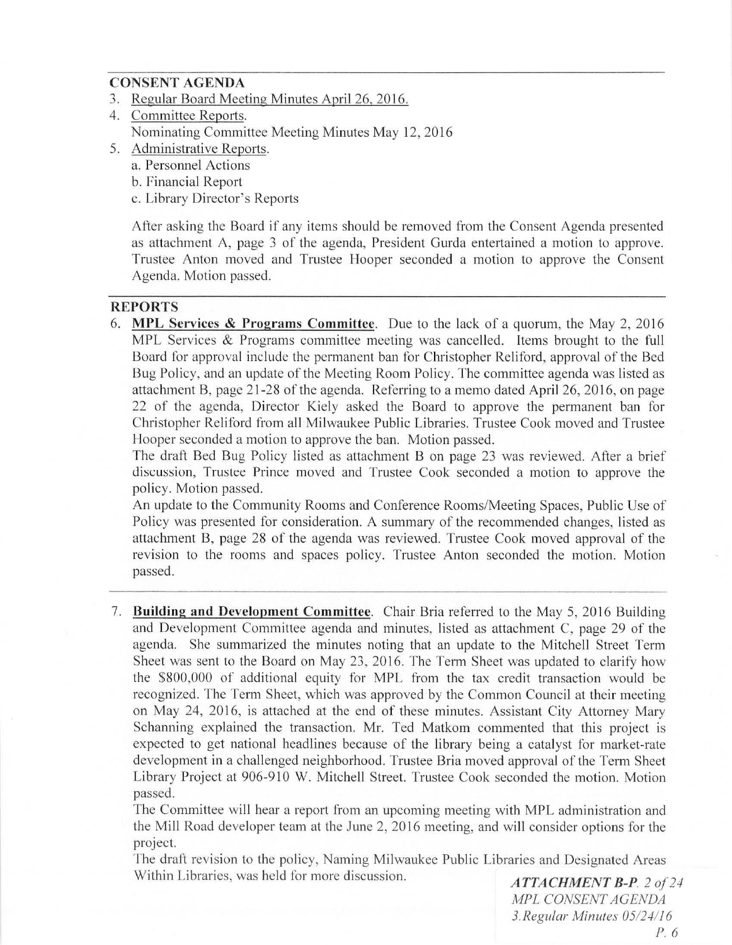### **CONSENT AGENDA**

- 3. Regular Board Meeting Minutes April 26, 2016.
- 4. Committee Reports. Nominating Committee Meeting Minutes May 12, 2016
- 5. Administrative Reports.
	- a. Personnel Actions
	- b. Financial Report
	- c. Library Director's Reports

After asking the Board if any items should be removed from the Consent Agenda presented as attachment A, page 3 of the agenda, President Gurda entertained a motion to approve. Trustee Anton moved and Trustee Hooper seconded a motion to approve the Consent Agenda. Motion passed.

#### **REPORTS**

6. **MI'L Services & Programs Committee.** Due to the lack of a quorum, the May 2, 20 16 MPL Services & Programs committee meeting was cancelled. Items brought to the full Board for approval include the permanent ban for Christopher Reliford, approval of the Bed Bug Policy, and an update of the Meeting Room Policy. The committee agenda was listed as attachment B, page 21-28 of the agenda. Referring to a memo dated April 26, 2016, on page 22 of the agenda, Director Kiely asked the Board to approve the permanent ban for Christopher Reliford from all Milwaukee Public Libraries. Trustee Cook moved and Trustee Hooper seconded a motion to approve the ban. Motion passed.

The draft Bed Bug Policy listed as attachment B on page 23 was reviewed. After a brief discussion, Trustee Prince moved and Trustee Cook seconded a motion to approve the policy. Motion passed.

An update to the Community Rooms and Conference Rooms/Meeting Spaces, Public Use of Policy was presented for consideration. A summary of the recommended changes, listed as attachment B, page 28 of the agenda was reviewed. Trustee Cook moved approval of the revision to the rooms and spaces policy. Trustee Anton seconded the motion. Motion passed.

7. **Building and Development Committee.** Chair Bria referred to the May 5, 2016 Building and Development Committee agenda and minutes, listed as attachment C, page 29 of the agenda. She summarized the minutes noting that an update to the Mitchell Street Term Sheet was sent to the Board on May 23, 2016. The Term Sheet was updated to clarify how the \$800,000 of additional equity for MPL from the tax credit transaction would be recognized. The Term Sheet, which was approved by the Common Council at their meeting on May 24, 2016, is attached at the end of these minutes. Assistant City Attorney Mary Schanning explained the transaction. Mr. Ted Matkom commented that this project is expected to get national headlines because of the library being a catalyst for market-rate development in a challenged neighborhood. Trustee Bria moved approval of the Term Sheet Library Project at 906-910 W. Mitchell Street. Trustee Cook seconded the motion. Motion passed.

The Committee will hear a report from an upcoming meeting with MPL administration and the Mill Road developer team at the June 2, 2016 meeting, and will consider options for the project.

The draft revision to the policy, Naming Milwaukee Public Libraries and Designated Areas Within Libraries, was held for more discussion. *ATTACHMENT B-P*. 2 of 24

*MPL CONSENT AGENDA*  3. *Regular Minutes 05124116*  P. 6